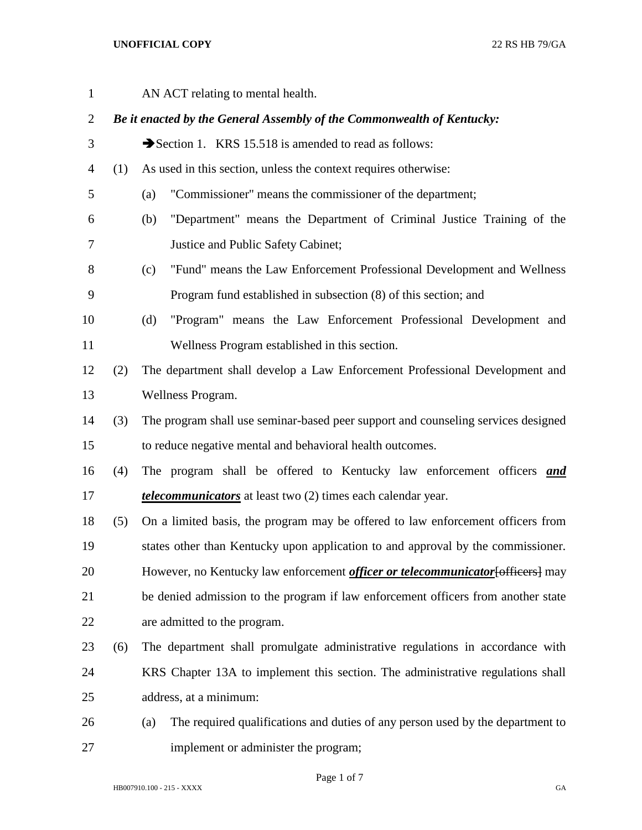AN ACT relating to mental health. *Be it enacted by the General Assembly of the Commonwealth of Kentucky:* 3 Section 1. KRS 15.518 is amended to read as follows: (1) As used in this section, unless the context requires otherwise: (a) "Commissioner" means the commissioner of the department; (b) "Department" means the Department of Criminal Justice Training of the Justice and Public Safety Cabinet; (c) "Fund" means the Law Enforcement Professional Development and Wellness Program fund established in subsection (8) of this section; and (d) "Program" means the Law Enforcement Professional Development and Wellness Program established in this section. (2) The department shall develop a Law Enforcement Professional Development and Wellness Program. (3) The program shall use seminar-based peer support and counseling services designed to reduce negative mental and behavioral health outcomes. (4) The program shall be offered to Kentucky law enforcement officers *and telecommunicators* at least two (2) times each calendar year. (5) On a limited basis, the program may be offered to law enforcement officers from states other than Kentucky upon application to and approval by the commissioner. 20 However, no Kentucky law enforcement *officer or telecommunicator* [officers] may be denied admission to the program if law enforcement officers from another state are admitted to the program. (6) The department shall promulgate administrative regulations in accordance with KRS Chapter 13A to implement this section. The administrative regulations shall address, at a minimum: (a) The required qualifications and duties of any person used by the department to implement or administer the program;

Page 1 of 7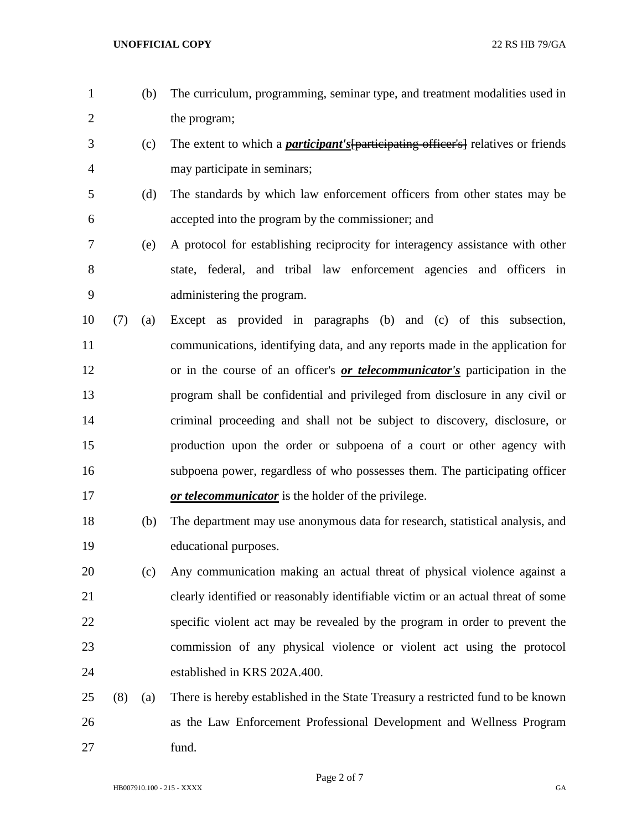- (b) The curriculum, programming, seminar type, and treatment modalities used in 2 the program;
- (c) The extent to which a *participant's*[participating officer's] relatives or friends may participate in seminars;
- (d) The standards by which law enforcement officers from other states may be accepted into the program by the commissioner; and
- (e) A protocol for establishing reciprocity for interagency assistance with other state, federal, and tribal law enforcement agencies and officers in administering the program.
- (7) (a) Except as provided in paragraphs (b) and (c) of this subsection, communications, identifying data, and any reports made in the application for or in the course of an officer's *or telecommunicator's* participation in the program shall be confidential and privileged from disclosure in any civil or criminal proceeding and shall not be subject to discovery, disclosure, or production upon the order or subpoena of a court or other agency with subpoena power, regardless of who possesses them. The participating officer *or telecommunicator* is the holder of the privilege.
- (b) The department may use anonymous data for research, statistical analysis, and educational purposes.
- (c) Any communication making an actual threat of physical violence against a clearly identified or reasonably identifiable victim or an actual threat of some specific violent act may be revealed by the program in order to prevent the commission of any physical violence or violent act using the protocol established in KRS 202A.400.
- (8) (a) There is hereby established in the State Treasury a restricted fund to be known as the Law Enforcement Professional Development and Wellness Program fund.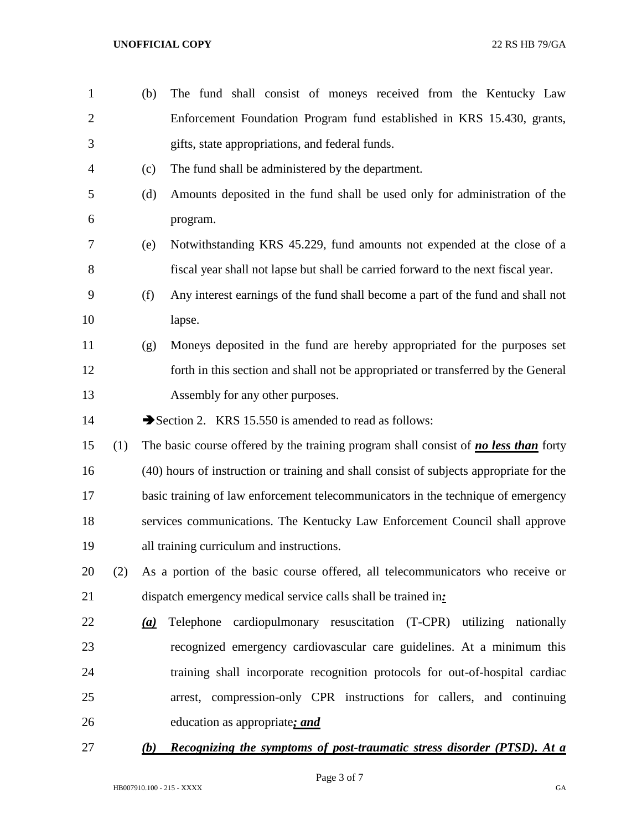| $\mathbf{1}$   |     | (b) | The fund shall consist of moneys received from the Kentucky Law                             |
|----------------|-----|-----|---------------------------------------------------------------------------------------------|
| $\overline{2}$ |     |     | Enforcement Foundation Program fund established in KRS 15.430, grants,                      |
| 3              |     |     | gifts, state appropriations, and federal funds.                                             |
| 4              |     | (c) | The fund shall be administered by the department.                                           |
| 5              |     | (d) | Amounts deposited in the fund shall be used only for administration of the                  |
| 6              |     |     | program.                                                                                    |
| 7              |     | (e) | Notwithstanding KRS 45.229, fund amounts not expended at the close of a                     |
| 8              |     |     | fiscal year shall not lapse but shall be carried forward to the next fiscal year.           |
| 9              |     | (f) | Any interest earnings of the fund shall become a part of the fund and shall not             |
| 10             |     |     | lapse.                                                                                      |
| 11             |     | (g) | Moneys deposited in the fund are hereby appropriated for the purposes set                   |
| 12             |     |     | forth in this section and shall not be appropriated or transferred by the General           |
| 13             |     |     | Assembly for any other purposes.                                                            |
| 14             |     |     | Section 2. KRS 15.550 is amended to read as follows:                                        |
| 15             | (1) |     | The basic course offered by the training program shall consist of <b>no less than</b> forty |
| 16             |     |     | (40) hours of instruction or training and shall consist of subjects appropriate for the     |
| 17             |     |     | basic training of law enforcement telecommunicators in the technique of emergency           |
| 18             |     |     | services communications. The Kentucky Law Enforcement Council shall approve                 |
| 19             |     |     | all training curriculum and instructions.                                                   |
| 20             | (2) |     | As a portion of the basic course offered, all telecommunicators who receive or              |
| 21             |     |     | dispatch emergency medical service calls shall be trained in:                               |
| 22             |     | (a) | Telephone cardiopulmonary resuscitation (T-CPR) utilizing<br>nationally                     |
| 23             |     |     | recognized emergency cardiovascular care guidelines. At a minimum this                      |
| 24             |     |     | training shall incorporate recognition protocols for out-of-hospital cardiac                |
| 25             |     |     | arrest, compression-only CPR instructions for callers, and continuing                       |
| 26             |     |     | education as appropriate; and                                                               |
| 27             |     | (b) | <b>Recognizing the symptoms of post-traumatic stress disorder (PTSD). At a</b>              |

Page 3 of 7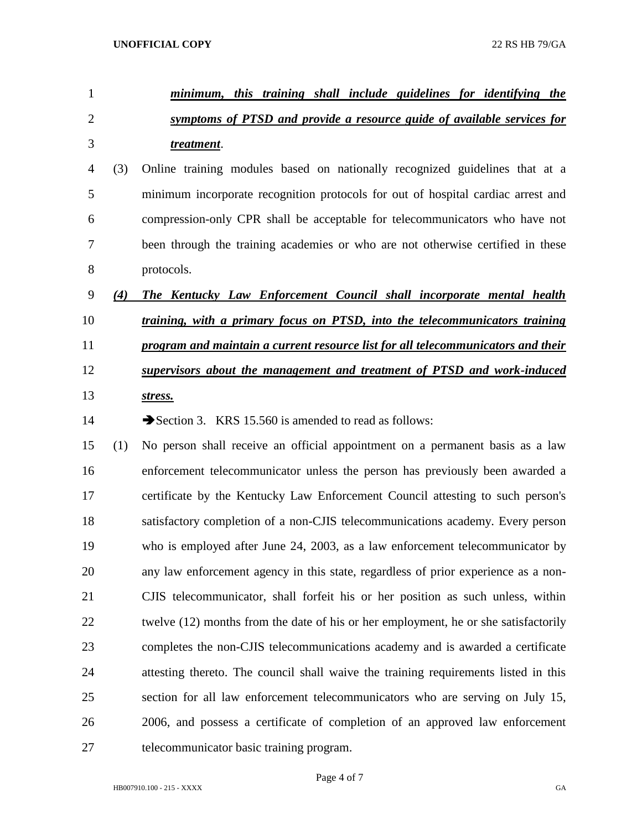| $\mathbf{1}$   |     | minimum, this training shall include guidelines for identifying the                     |
|----------------|-----|-----------------------------------------------------------------------------------------|
| $\overline{2}$ |     | symptoms of PTSD and provide a resource guide of available services for                 |
| 3              |     | treatment.                                                                              |
| 4              | (3) | Online training modules based on nationally recognized guidelines that at a             |
| 5              |     | minimum incorporate recognition protocols for out of hospital cardiac arrest and        |
| 6              |     | compression-only CPR shall be acceptable for telecommunicators who have not             |
| 7              |     | been through the training academies or who are not otherwise certified in these         |
| 8              |     | protocols.                                                                              |
| 9              | (4) | The Kentucky Law Enforcement Council shall incorporate mental health                    |
| 10             |     | training, with a primary focus on PTSD, into the telecommunicators training             |
| 11             |     | <u>program and maintain a current resource list for all telecommunicators and their</u> |
| 12             |     | supervisors about the management and treatment of PTSD and work-induced                 |
| 13             |     | stress.                                                                                 |
| 14             |     | Section 3. KRS 15.560 is amended to read as follows:                                    |
| 15             | (1) | No person shall receive an official appointment on a permanent basis as a law           |
| 16             |     | enforcement telecommunicator unless the person has previously been awarded a            |
| 17             |     | certificate by the Kentucky Law Enforcement Council attesting to such person's          |
| 18             |     | satisfactory completion of a non-CJIS telecommunications academy. Every person          |
| 19             |     | who is employed after June 24, 2003, as a law enforcement telecommunicator by           |
| 20             |     | any law enforcement agency in this state, regardless of prior experience as a non-      |
| 21             |     | CJIS telecommunicator, shall forfeit his or her position as such unless, within         |
| 22             |     | twelve (12) months from the date of his or her employment, he or she satisfactorily     |
| 23             |     | completes the non-CJIS telecommunications academy and is awarded a certificate          |
| 24             |     | attesting thereto. The council shall waive the training requirements listed in this     |
| 25             |     | section for all law enforcement telecommunicators who are serving on July 15,           |
| 26             |     | 2006, and possess a certificate of completion of an approved law enforcement            |
| 27             |     | telecommunicator basic training program.                                                |

Page 4 of 7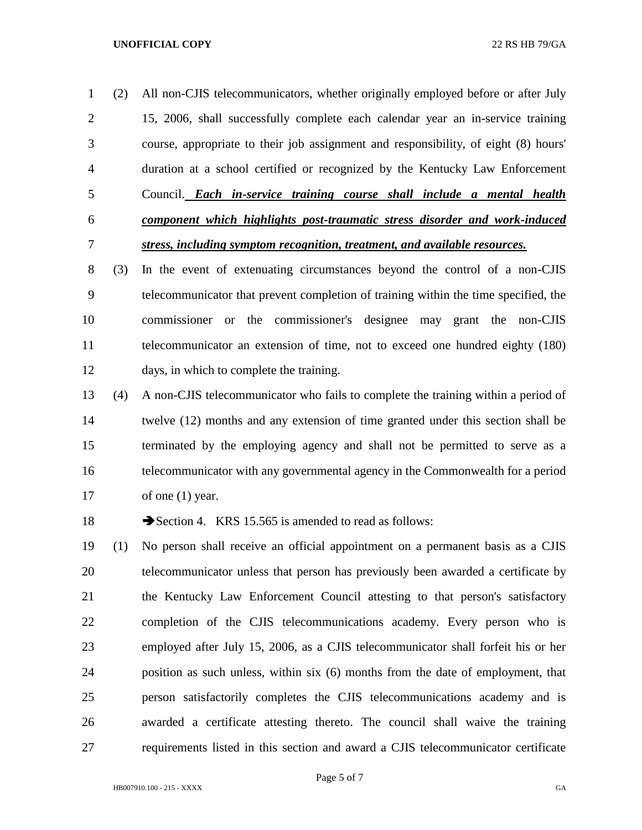(2) All non-CJIS telecommunicators, whether originally employed before or after July 15, 2006, shall successfully complete each calendar year an in-service training course, appropriate to their job assignment and responsibility, of eight (8) hours' duration at a school certified or recognized by the Kentucky Law Enforcement Council. *Each in-service training course shall include a mental health component which highlights post-traumatic stress disorder and work-induced stress, including symptom recognition, treatment, and available resources.*

 (3) In the event of extenuating circumstances beyond the control of a non-CJIS telecommunicator that prevent completion of training within the time specified, the commissioner or the commissioner's designee may grant the non-CJIS telecommunicator an extension of time, not to exceed one hundred eighty (180) days, in which to complete the training.

 (4) A non-CJIS telecommunicator who fails to complete the training within a period of twelve (12) months and any extension of time granted under this section shall be terminated by the employing agency and shall not be permitted to serve as a telecommunicator with any governmental agency in the Commonwealth for a period 17 of one (1) year.

18 Section 4. KRS 15.565 is amended to read as follows:

 (1) No person shall receive an official appointment on a permanent basis as a CJIS telecommunicator unless that person has previously been awarded a certificate by the Kentucky Law Enforcement Council attesting to that person's satisfactory completion of the CJIS telecommunications academy. Every person who is employed after July 15, 2006, as a CJIS telecommunicator shall forfeit his or her position as such unless, within six (6) months from the date of employment, that person satisfactorily completes the CJIS telecommunications academy and is awarded a certificate attesting thereto. The council shall waive the training requirements listed in this section and award a CJIS telecommunicator certificate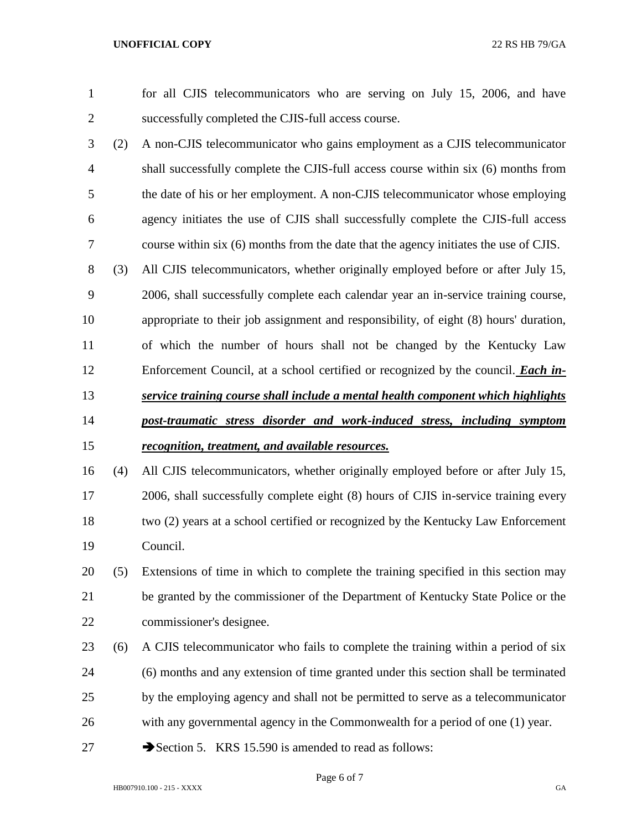- 
- 

 for all CJIS telecommunicators who are serving on July 15, 2006, and have successfully completed the CJIS-full access course.

- (2) A non-CJIS telecommunicator who gains employment as a CJIS telecommunicator shall successfully complete the CJIS-full access course within six (6) months from the date of his or her employment. A non-CJIS telecommunicator whose employing agency initiates the use of CJIS shall successfully complete the CJIS-full access course within six (6) months from the date that the agency initiates the use of CJIS.
- (3) All CJIS telecommunicators, whether originally employed before or after July 15, 2006, shall successfully complete each calendar year an in-service training course, appropriate to their job assignment and responsibility, of eight (8) hours' duration, of which the number of hours shall not be changed by the Kentucky Law Enforcement Council, at a school certified or recognized by the council. *Each in- service training course shall include a mental health component which highlights post-traumatic stress disorder and work-induced stress, including symptom*
- *recognition, treatment, and available resources.*
- (4) All CJIS telecommunicators, whether originally employed before or after July 15, 2006, shall successfully complete eight (8) hours of CJIS in-service training every two (2) years at a school certified or recognized by the Kentucky Law Enforcement Council.
- (5) Extensions of time in which to complete the training specified in this section may be granted by the commissioner of the Department of Kentucky State Police or the commissioner's designee.
- (6) A CJIS telecommunicator who fails to complete the training within a period of six (6) months and any extension of time granted under this section shall be terminated by the employing agency and shall not be permitted to serve as a telecommunicator with any governmental agency in the Commonwealth for a period of one (1) year.
- 27 Section 5. KRS 15.590 is amended to read as follows: